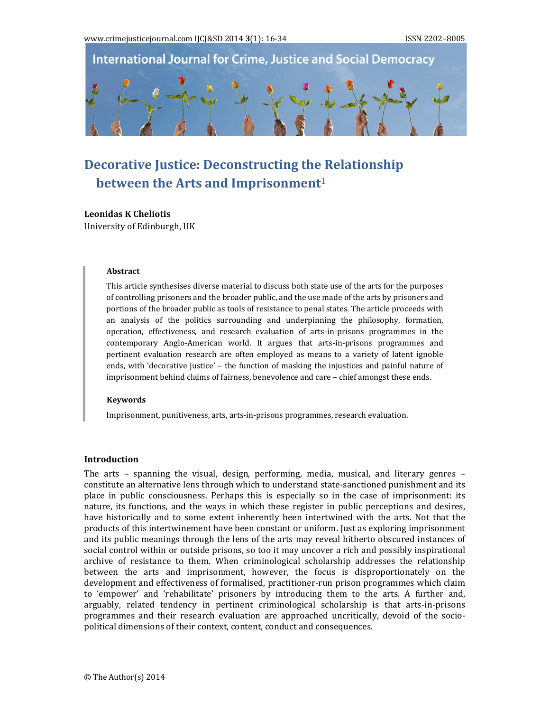**International Journal for Crime, Justice and Social Democracy** 

# **Decorative Justice: Deconstructing the Relationship between the Arts and Imprisonment**<sup>1</sup>

#### **Leonidas K Cheliotis**

University of Edinburgh, UK

#### **Abstract**

This article synthesises diverse material to discuss both state use of the arts for the purposes of controlling prisoners and the broader public, and the use made of the arts by prisoners and portions of the broader public as tools of resistance to penal states. The article proceeds with an analysis of the politics surrounding and underpinning the philosophy, formation, operation, effectiveness, and research evaluation of arts-in-prisons programmes in the contemporary Anglo-American world. It argues that arts-in-prisons programmes and pertinent evaluation research are often employed as means to a variety of latent ignoble ends, with 'decorative justice' - the function of masking the injustices and painful nature of imprisonment behind claims of fairness, benevolence and care – chief amongst these ends.

#### **Keywords**

Imprisonment, punitiveness, arts, arts-in-prisons programmes, research evaluation.

#### **Introduction**

The arts – spanning the visual, design, performing, media, musical, and literary genres – constitute an alternative lens through which to understand state-sanctioned punishment and its place in public consciousness. Perhaps this is especially so in the case of imprisonment: its nature, its functions, and the ways in which these register in public perceptions and desires, have historically and to some extent inherently been intertwined with the arts. Not that the products of this intertwinement have been constant or uniform. Just as exploring imprisonment and its public meanings through the lens of the arts may reveal hitherto obscured instances of social control within or outside prisons, so too it may uncover a rich and possibly inspirational archive of resistance to them. When criminological scholarship addresses the relationship between the arts and imprisonment, however, the focus is disproportionately on the development and effectiveness of formalised, practitioner-run prison programmes which claim to 'empower' and 'rehabilitate' prisoners by introducing them to the arts. A further and, arguably, related tendency in pertinent criminological scholarship is that arts-in-prisons programmes and their research evaluation are approached uncritically, devoid of the sociopolitical dimensions of their context, content, conduct and consequences.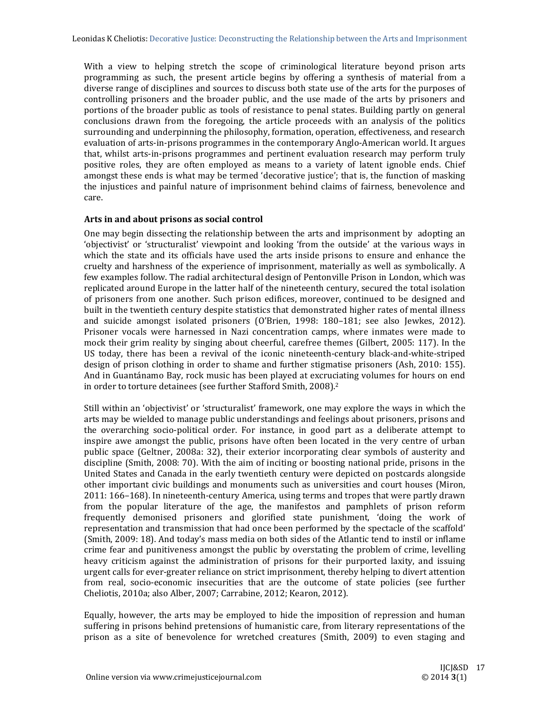With a view to helping stretch the scope of criminological literature beyond prison arts programming as such, the present article begins by offering a synthesis of material from a diverse range of disciplines and sources to discuss both state use of the arts for the purposes of controlling prisoners and the broader public, and the use made of the arts by prisoners and portions of the broader public as tools of resistance to penal states. Building partly on general conclusions drawn from the foregoing, the article proceeds with an analysis of the politics surrounding and underpinning the philosophy, formation, operation, effectiveness, and research evaluation of arts-in-prisons programmes in the contemporary Anglo-American world. It argues that, whilst arts-in-prisons programmes and pertinent evaluation research may perform truly positive roles, they are often employed as means to a variety of latent ignoble ends. Chief amongst these ends is what may be termed 'decorative justice'; that is, the function of masking the injustices and painful nature of imprisonment behind claims of fairness, benevolence and care. 

# **Arts in and about prisons as social control**

One may begin dissecting the relationship between the arts and imprisonment by adopting an 'objectivist' or 'structuralist' viewpoint and looking 'from the outside' at the various ways in which the state and its officials have used the arts inside prisons to ensure and enhance the cruelty and harshness of the experience of imprisonment, materially as well as symbolically. A few examples follow. The radial architectural design of Pentonville Prison in London, which was replicated around Europe in the latter half of the nineteenth century, secured the total isolation of prisoners from one another. Such prison edifices, moreover, continued to be designed and built in the twentieth century despite statistics that demonstrated higher rates of mental illness and suicide amongst isolated prisoners (O'Brien, 1998: 180-181; see also Jewkes, 2012). Prisoner vocals were harnessed in Nazi concentration camps, where inmates were made to mock their grim reality by singing about cheerful, carefree themes (Gilbert, 2005: 117). In the US today, there has been a revival of the iconic nineteenth-century black-and-white-striped design of prison clothing in order to shame and further stigmatise prisoners (Ash, 2010: 155). And in Guantánamo Bay, rock music has been played at excruciating volumes for hours on end in order to torture detainees (see further Stafford Smith, 2008).<sup>2</sup>

Still within an 'objectivist' or 'structuralist' framework, one may explore the ways in which the arts may be wielded to manage public understandings and feelings about prisoners, prisons and the overarching socio-political order. For instance, in good part as a deliberate attempt to inspire awe amongst the public, prisons have often been located in the very centre of urban public space (Geltner, 2008a: 32), their exterior incorporating clear symbols of austerity and discipline (Smith, 2008: 70). With the aim of inciting or boosting national pride, prisons in the United States and Canada in the early twentieth century were depicted on postcards alongside other important civic buildings and monuments such as universities and court houses (Miron, 2011: 166–168). In nineteenth-century America, using terms and tropes that were partly drawn from the popular literature of the age, the manifestos and pamphlets of prison reform frequently demonised prisoners and glorified state punishment, 'doing the work of representation and transmission that had once been performed by the spectacle of the scaffold' (Smith, 2009: 18). And today's mass media on both sides of the Atlantic tend to instil or inflame crime fear and punitiveness amongst the public by overstating the problem of crime, levelling heavy criticism against the administration of prisons for their purported laxity, and issuing urgent calls for ever-greater reliance on strict imprisonment, thereby helping to divert attention from real, socio-economic insecurities that are the outcome of state policies (see further Cheliotis, 2010a; also Alber, 2007; Carrabine, 2012; Kearon, 2012).

Equally, however, the arts may be employed to hide the imposition of repression and human suffering in prisons behind pretensions of humanistic care, from literary representations of the prison as a site of benevolence for wretched creatures (Smith, 2009) to even staging and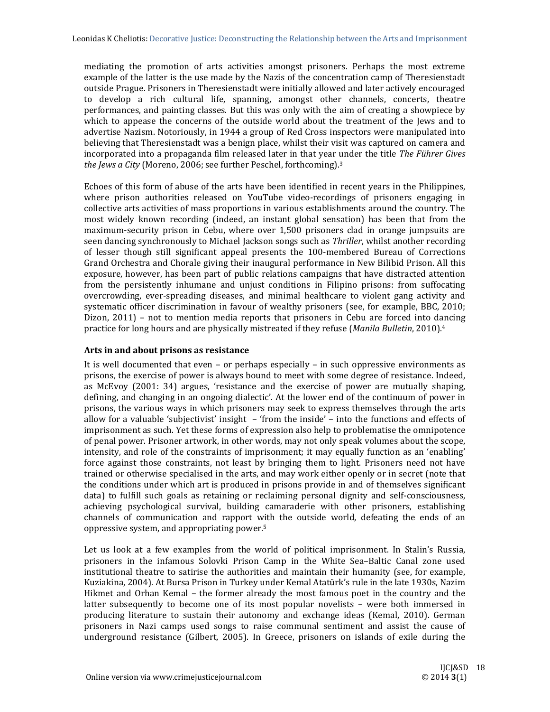mediating the promotion of arts activities amongst prisoners. Perhaps the most extreme example of the latter is the use made by the Nazis of the concentration camp of Theresienstadt outside Prague. Prisoners in Theresienstadt were initially allowed and later actively encouraged to develop a rich cultural life, spanning, amongst other channels, concerts, theatre performances, and painting classes. But this was only with the aim of creating a showpiece by which to appease the concerns of the outside world about the treatment of the Jews and to advertise Nazism. Notoriously, in 1944 a group of Red Cross inspectors were manipulated into believing that Theresienstadt was a benign place, whilst their visit was captured on camera and incorporated into a propaganda film released later in that year under the title *The Führer Gives the Jews a City* (Moreno, 2006; see further Peschel, forthcoming).<sup>3</sup>

Echoes of this form of abuse of the arts have been identified in recent years in the Philippines, where prison authorities released on YouTube video-recordings of prisoners engaging in collective arts activities of mass proportions in various establishments around the country. The most widely known recording (indeed, an instant global sensation) has been that from the maximum-security prison in Cebu, where over 1,500 prisoners clad in orange jumpsuits are seen dancing synchronously to Michael Jackson songs such as *Thriller*, whilst another recording of lesser though still significant appeal presents the 100-membered Bureau of Corrections Grand Orchestra and Chorale giving their inaugural performance in New Bilibid Prison. All this exposure, however, has been part of public relations campaigns that have distracted attention from the persistently inhumane and unjust conditions in Filipino prisons: from suffocating overcrowding, ever-spreading diseases, and minimal healthcare to violent gang activity and systematic officer discrimination in favour of wealthy prisoners (see, for example, BBC, 2010; Dizon,  $2011$ ) – not to mention media reports that prisoners in Cebu are forced into dancing practice for long hours and are physically mistreated if they refuse (*Manila Bulletin*, 2010).<sup>4</sup>

# **Arts in and about prisons as resistance**

It is well documented that even  $-$  or perhaps especially  $-$  in such oppressive environments as prisons, the exercise of power is always bound to meet with some degree of resistance. Indeed, as McEvoy  $(2001: 34)$  argues, 'resistance and the exercise of power are mutually shaping, defining, and changing in an ongoing dialectic'. At the lower end of the continuum of power in prisons, the various ways in which prisoners may seek to express themselves through the arts allow for a valuable 'subjectivist' insight  $-$  'from the inside'  $-$  into the functions and effects of imprisonment as such. Yet these forms of expression also help to problematise the omnipotence of penal power. Prisoner artwork, in other words, may not only speak volumes about the scope, intensity, and role of the constraints of imprisonment; it may equally function as an 'enabling' force against those constraints, not least by bringing them to light. Prisoners need not have trained or otherwise specialised in the arts, and may work either openly or in secret (note that the conditions under which art is produced in prisons provide in and of themselves significant data) to fulfill such goals as retaining or reclaiming personal dignity and self-consciousness, achieving psychological survival, building camaraderie with other prisoners, establishing channels of communication and rapport with the outside world, defeating the ends of an oppressive system, and appropriating power.<sup>5</sup>

Let us look at a few examples from the world of political imprisonment. In Stalin's Russia, prisoners in the infamous Solovki Prison Camp in the White Sea–Baltic Canal zone used institutional theatre to satirise the authorities and maintain their humanity (see, for example, Kuziakina, 2004). At Bursa Prison in Turkey under Kemal Atatürk's rule in the late 1930s, Nazim Hikmet and Orhan Kemal – the former already the most famous poet in the country and the latter subsequently to become one of its most popular novelists – were both immersed in producing literature to sustain their autonomy and exchange ideas (Kemal, 2010). German prisoners in Nazi camps used songs to raise communal sentiment and assist the cause of underground resistance (Gilbert, 2005). In Greece, prisoners on islands of exile during the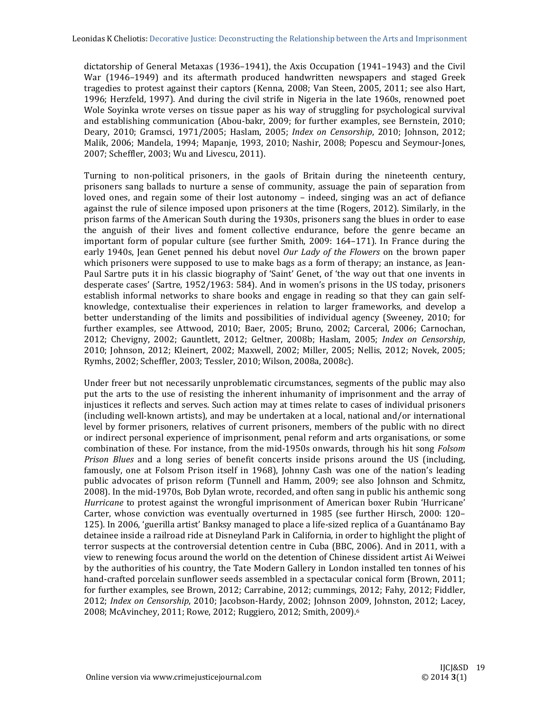dictatorship of General Metaxas  $(1936-1941)$ , the Axis Occupation  $(1941-1943)$  and the Civil War (1946–1949) and its aftermath produced handwritten newspapers and staged Greek tragedies to protest against their captors (Kenna, 2008; Van Steen, 2005, 2011; see also Hart, 1996; Herzfeld, 1997). And during the civil strife in Nigeria in the late 1960s, renowned poet Wole Soyinka wrote verses on tissue paper as his way of struggling for psychological survival and establishing communication (Abou-bakr, 2009; for further examples, see Bernstein, 2010; Deary, 2010; Gramsci, 1971/2005; Haslam, 2005; *Index on Censorship*, 2010; Johnson, 2012; Malik, 2006; Mandela, 1994; Mapanje, 1993, 2010; Nashir, 2008; Popescu and Seymour-Jones, 2007; Scheffler, 2003; Wu and Livescu, 2011).

Turning to non-political prisoners, in the gaols of Britain during the nineteenth century, prisoners sang ballads to nurture a sense of community, assuage the pain of separation from loved ones, and regain some of their lost autonomy – indeed, singing was an act of defiance against the rule of silence imposed upon prisoners at the time (Rogers, 2012). Similarly, in the prison farms of the American South during the 1930s, prisoners sang the blues in order to ease the anguish of their lives and foment collective endurance, before the genre became an important form of popular culture (see further Smith, 2009: 164–171). In France during the early 1940s, Jean Genet penned his debut novel *Our Lady of the Flowers* on the brown paper which prisoners were supposed to use to make bags as a form of therapy; an instance, as Jean-Paul Sartre puts it in his classic biography of 'Saint' Genet, of 'the way out that one invents in desperate cases' (Sartre, 1952/1963: 584). And in women's prisons in the US today, prisoners establish informal networks to share books and engage in reading so that they can gain selfknowledge, contextualise their experiences in relation to larger frameworks, and develop a better understanding of the limits and possibilities of individual agency (Sweeney, 2010; for further examples, see Attwood, 2010; Baer, 2005; Bruno, 2002; Carceral, 2006; Carnochan, 2012; Chevigny, 2002; Gauntlett, 2012; Geltner, 2008b; Haslam, 2005; *Index on Censorship*, 2010; Johnson, 2012; Kleinert, 2002; Maxwell, 2002; Miller, 2005; Nellis, 2012; Novek, 2005; Rymhs, 2002; Scheffler, 2003; Tessler, 2010; Wilson, 2008a, 2008c).

Under freer but not necessarily unproblematic circumstances, segments of the public may also put the arts to the use of resisting the inherent inhumanity of imprisonment and the array of injustices it reflects and serves. Such action may at times relate to cases of individual prisoners (including well-known artists), and may be undertaken at a local, national and/or international level by former prisoners, relatives of current prisoners, members of the public with no direct or indirect personal experience of imprisonment, penal reform and arts organisations, or some combination of these. For instance, from the mid-1950s onwards, through his hit song *Folsom Prison Blues* and a long series of benefit concerts inside prisons around the US (including, famously, one at Folsom Prison itself in 1968), Johnny Cash was one of the nation's leading public advocates of prison reform (Tunnell and Hamm, 2009; see also Johnson and Schmitz, 2008). In the mid-1970s, Bob Dylan wrote, recorded, and often sang in public his anthemic song *Hurricane* to protest against the wrongful imprisonment of American boxer Rubin 'Hurricane' Carter, whose conviction was eventually overturned in 1985 (see further Hirsch, 2000: 120– 125). In 2006, 'guerilla artist' Banksy managed to place a life-sized replica of a Guantánamo Bay detainee inside a railroad ride at Disneyland Park in California, in order to highlight the plight of terror suspects at the controversial detention centre in Cuba (BBC, 2006). And in 2011, with a view to renewing focus around the world on the detention of Chinese dissident artist Ai Weiwei by the authorities of his country, the Tate Modern Gallery in London installed ten tonnes of his hand-crafted porcelain sunflower seeds assembled in a spectacular conical form (Brown, 2011; for further examples, see Brown, 2012; Carrabine, 2012; cummings, 2012; Fahy, 2012; Fiddler, 2012; *Index on Censorship*, 2010; Jacobson-Hardy, 2002; Johnson 2009, Johnston, 2012; Lacey, 2008; McAvinchey, 2011; Rowe, 2012; Ruggiero, 2012; Smith, 2009).<sup>6</sup>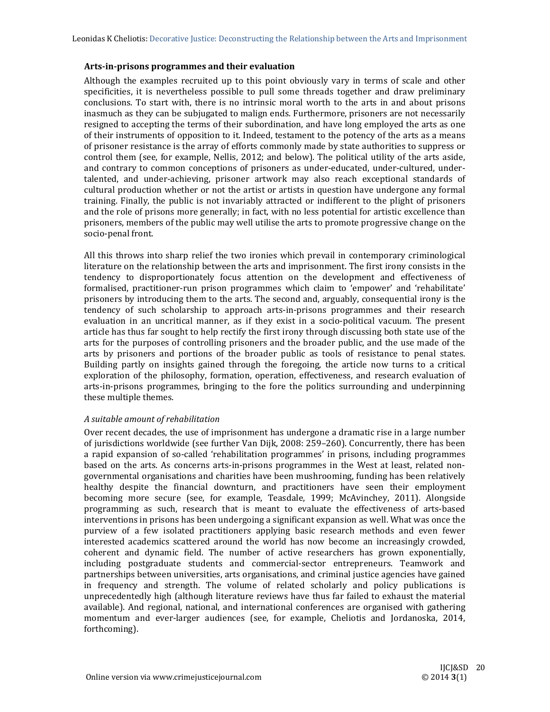#### **Arts‐in‐prisons programmes and their evaluation**

Although the examples recruited up to this point obviously vary in terms of scale and other specificities, it is nevertheless possible to pull some threads together and draw preliminary conclusions. To start with, there is no intrinsic moral worth to the arts in and about prisons inasmuch as they can be subjugated to malign ends. Furthermore, prisoners are not necessarily resigned to accepting the terms of their subordination, and have long employed the arts as one of their instruments of opposition to it. Indeed, testament to the potency of the arts as a means of prisoner resistance is the array of efforts commonly made by state authorities to suppress or control them (see, for example, Nellis, 2012; and below). The political utility of the arts aside, and contrary to common conceptions of prisoners as under-educated, under-cultured, undertalented, and under-achieving, prisoner artwork may also reach exceptional standards of cultural production whether or not the artist or artists in question have undergone any formal training. Finally, the public is not invariably attracted or indifferent to the plight of prisoners and the role of prisons more generally; in fact, with no less potential for artistic excellence than prisoners, members of the public may well utilise the arts to promote progressive change on the socio-penal front.

All this throws into sharp relief the two ironies which prevail in contemporary criminological literature on the relationship between the arts and imprisonment. The first irony consists in the tendency to disproportionately focus attention on the development and effectiveness of formalised, practitioner-run prison programmes which claim to 'empower' and 'rehabilitate' prisoners by introducing them to the arts. The second and, arguably, consequential irony is the tendency of such scholarship to approach arts-in-prisons programmes and their research evaluation in an uncritical manner, as if they exist in a socio-political vacuum. The present article has thus far sought to help rectify the first irony through discussing both state use of the arts for the purposes of controlling prisoners and the broader public, and the use made of the arts by prisoners and portions of the broader public as tools of resistance to penal states. Building partly on insights gained through the foregoing, the article now turns to a critical exploration of the philosophy, formation, operation, effectiveness, and research evaluation of arts-in-prisons programmes, bringing to the fore the politics surrounding and underpinning these multiple themes.

# *A suitable amount of rehabilitation*

Over recent decades, the use of imprisonment has undergone a dramatic rise in a large number of jurisdictions worldwide (see further Van Dijk, 2008: 259–260). Concurrently, there has been a rapid expansion of so-called 'rehabilitation programmes' in prisons, including programmes based on the arts. As concerns arts-in-prisons programmes in the West at least, related nongovernmental organisations and charities have been mushrooming, funding has been relatively healthy despite the financial downturn, and practitioners have seen their employment becoming more secure (see, for example, Teasdale, 1999; McAvinchey, 2011). Alongside programming as such, research that is meant to evaluate the effectiveness of arts-based interventions in prisons has been undergoing a significant expansion as well. What was once the purview of a few isolated practitioners applying basic research methods and even fewer interested academics scattered around the world has now become an increasingly crowded, coherent and dynamic field. The number of active researchers has grown exponentially, including postgraduate students and commercial-sector entrepreneurs. Teamwork and partnerships between universities, arts organisations, and criminal justice agencies have gained in frequency and strength. The volume of related scholarly and policy publications is unprecedentedly high (although literature reviews have thus far failed to exhaust the material available). And regional, national, and international conferences are organised with gathering momentum and ever-larger audiences (see, for example, Cheliotis and Jordanoska, 2014, forthcoming).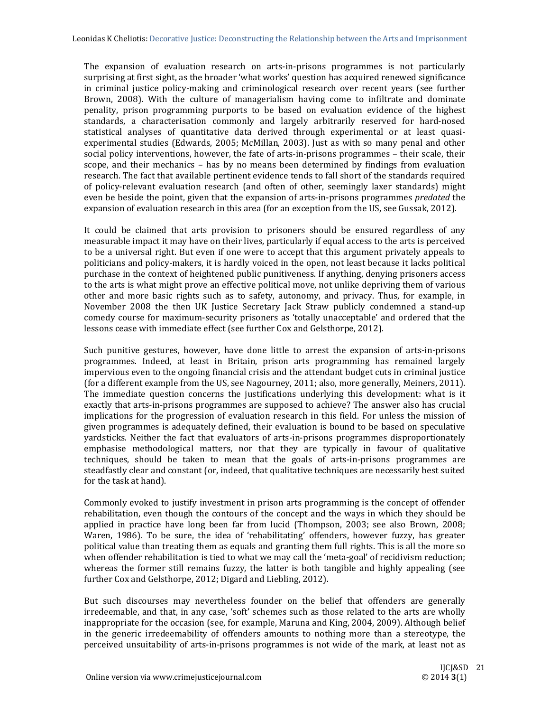The expansion of evaluation research on arts-in-prisons programmes is not particularly surprising at first sight, as the broader 'what works' question has acquired renewed significance in criminal justice policy-making and criminological research over recent years (see further Brown, 2008). With the culture of managerialism having come to infiltrate and dominate penality, prison programming purports to be based on evaluation evidence of the highest standards, a characterisation commonly and largely arbitrarily reserved for hard-nosed statistical analyses of quantitative data derived through experimental or at least quasiexperimental studies (Edwards, 2005; McMillan, 2003). Just as with so many penal and other social policy interventions, however, the fate of arts-in-prisons programmes – their scale, their scope, and their mechanics – has by no means been determined by findings from evaluation research. The fact that available pertinent evidence tends to fall short of the standards required of policy-relevant evaluation research (and often of other, seemingly laxer standards) might even be beside the point, given that the expansion of arts-in-prisons programmes *predated* the expansion of evaluation research in this area (for an exception from the US, see Gussak, 2012).

It could be claimed that arts provision to prisoners should be ensured regardless of any measurable impact it may have on their lives, particularly if equal access to the arts is perceived to be a universal right. But even if one were to accept that this argument privately appeals to politicians and policy-makers, it is hardly voiced in the open, not least because it lacks political purchase in the context of heightened public punitiveness. If anything, denying prisoners access to the arts is what might prove an effective political move, not unlike depriving them of various other and more basic rights such as to safety, autonomy, and privacy. Thus, for example, in November 2008 the then UK Justice Secretary Jack Straw publicly condemned a stand-up comedy course for maximum-security prisoners as 'totally unacceptable' and ordered that the lessons cease with immediate effect (see further Cox and Gelsthorpe, 2012).

Such punitive gestures, however, have done little to arrest the expansion of arts-in-prisons programmes. Indeed, at least in Britain, prison arts programming has remained largely impervious even to the ongoing financial crisis and the attendant budget cuts in criminal justice (for a different example from the US, see Nagourney, 2011; also, more generally, Meiners, 2011). The immediate question concerns the justifications underlying this development: what is it exactly that arts-in-prisons programmes are supposed to achieve? The answer also has crucial implications for the progression of evaluation research in this field. For unless the mission of given programmes is adequately defined, their evaluation is bound to be based on speculative yardsticks. Neither the fact that evaluators of arts-in-prisons programmes disproportionately emphasise methodological matters, nor that they are typically in favour of qualitative techniques, should be taken to mean that the goals of arts-in-prisons programmes are steadfastly clear and constant (or, indeed, that qualitative techniques are necessarily best suited for the task at hand).

Commonly evoked to justify investment in prison arts programming is the concept of offender rehabilitation, even though the contours of the concept and the ways in which they should be applied in practice have long been far from lucid (Thompson, 2003; see also Brown, 2008; Waren, 1986). To be sure, the idea of 'rehabilitating' offenders, however fuzzy, has greater political value than treating them as equals and granting them full rights. This is all the more so when offender rehabilitation is tied to what we may call the 'meta-goal' of recidivism reduction; whereas the former still remains fuzzy, the latter is both tangible and highly appealing (see further Cox and Gelsthorpe, 2012; Digard and Liebling, 2012).

But such discourses may nevertheless founder on the belief that offenders are generally irredeemable, and that, in any case, 'soft' schemes such as those related to the arts are wholly inappropriate for the occasion (see, for example, Maruna and King, 2004, 2009). Although belief in the generic irredeemability of offenders amounts to nothing more than a stereotype, the perceived unsuitability of arts-in-prisons programmes is not wide of the mark, at least not as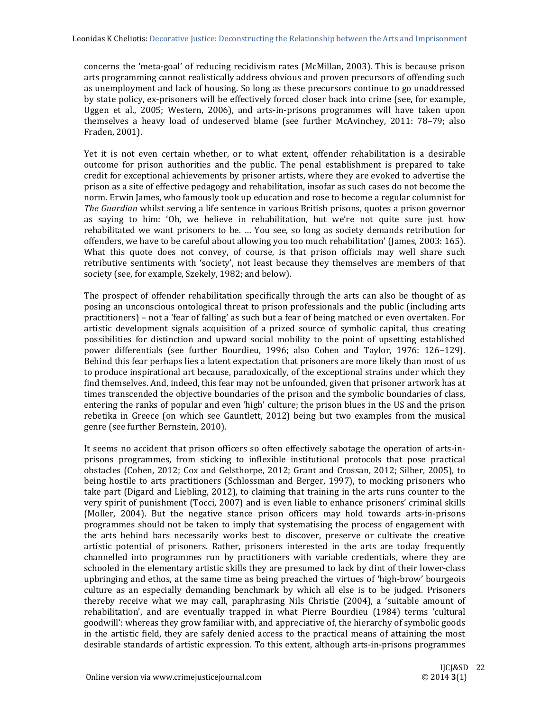concerns the 'meta-goal' of reducing recidivism rates (McMillan, 2003). This is because prison arts programming cannot realistically address obvious and proven precursors of offending such as unemployment and lack of housing. So long as these precursors continue to go unaddressed by state policy, ex-prisoners will be effectively forced closer back into crime (see, for example, Uggen et al., 2005; Western, 2006), and arts-in-prisons programmes will have taken upon themselves a heavy load of undeserved blame (see further McAvinchey, 2011: 78–79; also Fraden, 2001). 

Yet it is not even certain whether, or to what extent, offender rehabilitation is a desirable outcome for prison authorities and the public. The penal establishment is prepared to take credit for exceptional achievements by prisoner artists, where they are evoked to advertise the prison as a site of effective pedagogy and rehabilitation, insofar as such cases do not become the norm. Erwin James, who famously took up education and rose to become a regular columnist for *The Guardian* whilst serving a life sentence in various British prisons, quotes a prison governor as saying to him: 'Oh, we believe in rehabilitation, but we're not quite sure just how rehabilitated we want prisoners to be. ... You see, so long as society demands retribution for offenders, we have to be careful about allowing you too much rehabilitation' (James, 2003: 165). What this quote does not convey, of course, is that prison officials may well share such retributive sentiments with 'society', not least because they themselves are members of that society (see, for example, Szekely, 1982; and below).

The prospect of offender rehabilitation specifically through the arts can also be thought of as posing an unconscious ontological threat to prison professionals and the public (including arts practitioners) – not a 'fear of falling' as such but a fear of being matched or even overtaken. For artistic development signals acquisition of a prized source of symbolic capital, thus creating possibilities for distinction and upward social mobility to the point of upsetting established power differentials (see further Bourdieu, 1996; also Cohen and Taylor, 1976: 126-129). Behind this fear perhaps lies a latent expectation that prisoners are more likely than most of us to produce inspirational art because, paradoxically, of the exceptional strains under which they find themselves. And, indeed, this fear may not be unfounded, given that prisoner artwork has at times transcended the objective boundaries of the prison and the symbolic boundaries of class, entering the ranks of popular and even 'high' culture; the prison blues in the US and the prison rebetika in Greece (on which see Gauntlett, 2012) being but two examples from the musical genre (see further Bernstein, 2010).

It seems no accident that prison officers so often effectively sabotage the operation of arts-inprisons programmes, from sticking to inflexible institutional protocols that pose practical obstacles (Cohen, 2012; Cox and Gelsthorpe, 2012; Grant and Crossan, 2012; Silber, 2005), to being hostile to arts practitioners (Schlossman and Berger, 1997), to mocking prisoners who take part (Digard and Liebling, 2012), to claiming that training in the arts runs counter to the very spirit of punishment (Tocci, 2007) and is even liable to enhance prisoners' criminal skills (Moller, 2004). But the negative stance prison officers may hold towards arts-in-prisons programmes should not be taken to imply that systematising the process of engagement with the arts behind bars necessarily works best to discover, preserve or cultivate the creative artistic potential of prisoners. Rather, prisoners interested in the arts are today frequently channelled into programmes run by practitioners with variable credentials, where they are schooled in the elementary artistic skills they are presumed to lack by dint of their lower-class upbringing and ethos, at the same time as being preached the virtues of 'high-brow' bourgeois culture as an especially demanding benchmark by which all else is to be judged. Prisoners thereby receive what we may call, paraphrasing Nils Christie (2004), a 'suitable amount of rehabilitation', and are eventually trapped in what Pierre Bourdieu (1984) terms 'cultural goodwill': whereas they grow familiar with, and appreciative of, the hierarchy of symbolic goods in the artistic field, they are safely denied access to the practical means of attaining the most desirable standards of artistic expression. To this extent, although arts-in-prisons programmes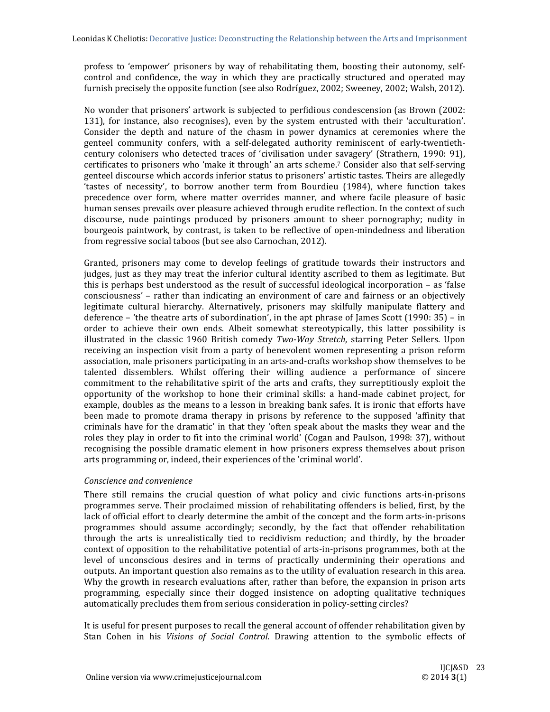profess to 'empower' prisoners by way of rehabilitating them, boosting their autonomy, selfcontrol and confidence, the way in which they are practically structured and operated may furnish precisely the opposite function (see also Rodríguez, 2002; Sweeney, 2002; Walsh, 2012).

No wonder that prisoners' artwork is subjected to perfidious condescension (as Brown (2002: 131), for instance, also recognises), even by the system entrusted with their 'acculturation'. Consider the depth and nature of the chasm in power dynamics at ceremonies where the genteel community confers, with a self-delegated authority reminiscent of early-twentiethcentury colonisers who detected traces of 'civilisation under savagery' (Strathern, 1990: 91), certificates to prisoners who 'make it through' an arts scheme.<sup>7</sup> Consider also that self-serving genteel discourse which accords inferior status to prisoners' artistic tastes. Theirs are allegedly 'tastes of necessity', to borrow another term from Bourdieu (1984), where function takes precedence over form, where matter overrides manner, and where facile pleasure of basic human senses prevails over pleasure achieved through erudite reflection. In the context of such discourse, nude paintings produced by prisoners amount to sheer pornography; nudity in bourgeois paintwork, by contrast, is taken to be reflective of open-mindedness and liberation from regressive social taboos (but see also Carnochan, 2012).

Granted, prisoners may come to develop feelings of gratitude towards their instructors and judges, just as they may treat the inferior cultural identity ascribed to them as legitimate. But this is perhaps best understood as the result of successful ideological incorporation  $-$  as 'false consciousness' – rather than indicating an environment of care and fairness or an objectively legitimate cultural hierarchy. Alternatively, prisoners may skilfully manipulate flattery and deference – 'the theatre arts of subordination', in the apt phrase of James Scott (1990:  $35$ ) – in order to achieve their own ends. Albeit somewhat stereotypically, this latter possibility is illustrated in the classic 1960 British comedy *Two*-*Way Stretch*, starring Peter Sellers. Upon receiving an inspection visit from a party of benevolent women representing a prison reform association, male prisoners participating in an arts-and-crafts workshop show themselves to be talented dissemblers. Whilst offering their willing audience a performance of sincere commitment to the rehabilitative spirit of the arts and crafts, they surreptitiously exploit the opportunity of the workshop to hone their criminal skills: a hand-made cabinet project, for example, doubles as the means to a lesson in breaking bank safes. It is ironic that efforts have been made to promote drama therapy in prisons by reference to the supposed 'affinity that criminals have for the dramatic' in that they 'often speak about the masks they wear and the roles they play in order to fit into the criminal world' (Cogan and Paulson, 1998: 37), without recognising the possible dramatic element in how prisoners express themselves about prison arts programming or, indeed, their experiences of the 'criminal world'.

# *Conscience and convenience*

There still remains the crucial question of what policy and civic functions arts-in-prisons programmes serve. Their proclaimed mission of rehabilitating offenders is belied, first, by the lack of official effort to clearly determine the ambit of the concept and the form arts-in-prisons programmes should assume accordingly; secondly, by the fact that offender rehabilitation through the arts is unrealistically tied to recidivism reduction; and thirdly, by the broader context of opposition to the rehabilitative potential of arts-in-prisons programmes, both at the level of unconscious desires and in terms of practically undermining their operations and outputs. An important question also remains as to the utility of evaluation research in this area. Why the growth in research evaluations after, rather than before, the expansion in prison arts programming, especially since their dogged insistence on adopting qualitative techniques automatically precludes them from serious consideration in policy-setting circles?

It is useful for present purposes to recall the general account of offender rehabilitation given by Stan Cohen in his *Visions of Social Control*. Drawing attention to the symbolic effects of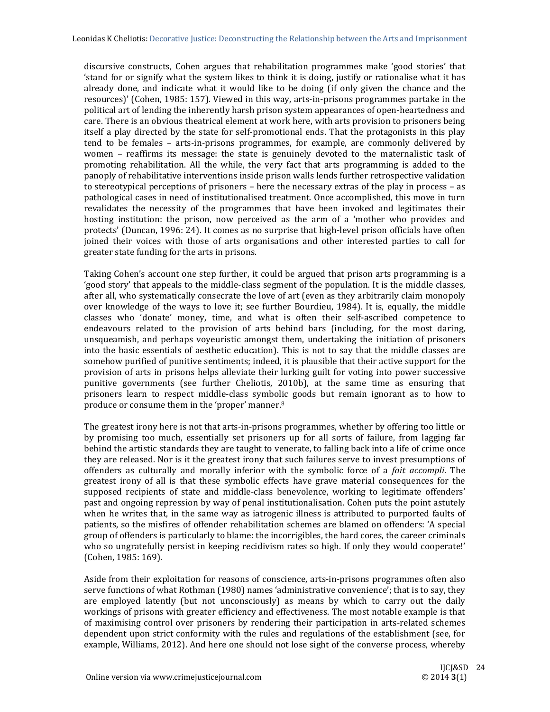discursive constructs, Cohen argues that rehabilitation programmes make 'good stories' that 'stand for or signify what the system likes to think it is doing, justify or rationalise what it has already done, and indicate what it would like to be doing (if only given the chance and the resources)' (Cohen, 1985: 157). Viewed in this way, arts-in-prisons programmes partake in the political art of lending the inherently harsh prison system appearances of open-heartedness and care. There is an obvious theatrical element at work here, with arts provision to prisoners being itself a play directed by the state for self-promotional ends. That the protagonists in this play tend to be females - arts-in-prisons programmes, for example, are commonly delivered by women – reaffirms its message: the state is genuinely devoted to the maternalistic task of promoting rehabilitation. All the while, the very fact that arts programming is added to the panoply of rehabilitative interventions inside prison walls lends further retrospective validation to stereotypical perceptions of prisoners  $-$  here the necessary extras of the play in process  $-$  as pathological cases in need of institutionalised treatment. Once accomplished, this move in turn revalidates the necessity of the programmes that have been invoked and legitimates their hosting institution: the prison, now perceived as the arm of a 'mother who provides and protects' (Duncan, 1996: 24). It comes as no surprise that high-level prison officials have often joined their voices with those of arts organisations and other interested parties to call for greater state funding for the arts in prisons.

Taking Cohen's account one step further, it could be argued that prison arts programming is a 'good story' that appeals to the middle-class segment of the population. It is the middle classes, after all, who systematically consecrate the love of art (even as they arbitrarily claim monopoly over knowledge of the ways to love it; see further Bourdieu, 1984). It is, equally, the middle classes who 'donate' money, time, and what is often their self-ascribed competence to endeavours related to the provision of arts behind bars (including, for the most daring, unsqueamish, and perhaps voyeuristic amongst them, undertaking the initiation of prisoners into the basic essentials of aesthetic education). This is not to say that the middle classes are somehow purified of punitive sentiments; indeed, it is plausible that their active support for the provision of arts in prisons helps alleviate their lurking guilt for voting into power successive punitive governments (see further Cheliotis, 2010b), at the same time as ensuring that prisoners learn to respect middle-class symbolic goods but remain ignorant as to how to produce or consume them in the 'proper' manner.<sup>8</sup>

The greatest irony here is not that arts-in-prisons programmes, whether by offering too little or by promising too much, essentially set prisoners up for all sorts of failure, from lagging far behind the artistic standards they are taught to venerate, to falling back into a life of crime once they are released. Nor is it the greatest irony that such failures serve to invest presumptions of offenders as culturally and morally inferior with the symbolic force of a *fait accompli*. The greatest irony of all is that these symbolic effects have grave material consequences for the supposed recipients of state and middle-class benevolence, working to legitimate offenders' past and ongoing repression by way of penal institutionalisation. Cohen puts the point astutely when he writes that, in the same way as iatrogenic illness is attributed to purported faults of patients, so the misfires of offender rehabilitation schemes are blamed on offenders: 'A special group of offenders is particularly to blame: the incorrigibles, the hard cores, the career criminals who so ungratefully persist in keeping recidivism rates so high. If only they would cooperate!' (Cohen, 1985: 169).

Aside from their exploitation for reasons of conscience, arts-in-prisons programmes often also serve functions of what Rothman (1980) names 'administrative convenience'; that is to say, they are employed latently (but not unconsciously) as means by which to carry out the daily workings of prisons with greater efficiency and effectiveness. The most notable example is that of maximising control over prisoners by rendering their participation in arts-related schemes dependent upon strict conformity with the rules and regulations of the establishment (see, for example, Williams, 2012). And here one should not lose sight of the converse process, whereby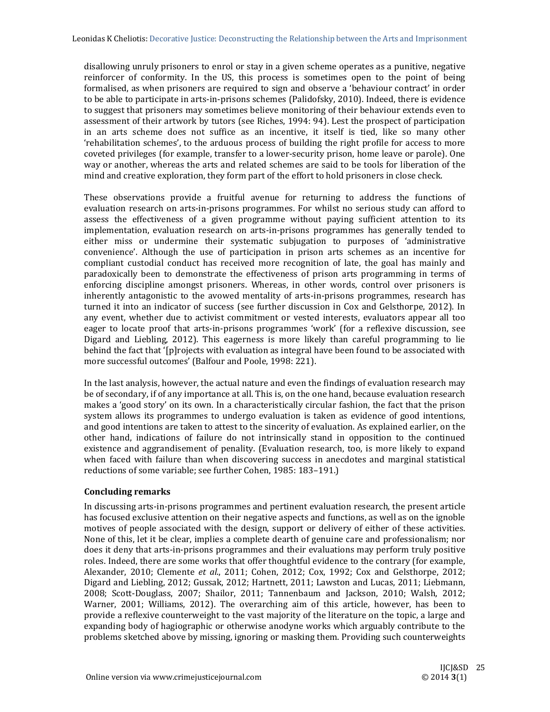disallowing unruly prisoners to enrol or stay in a given scheme operates as a punitive, negative reinforcer of conformity. In the US, this process is sometimes open to the point of being formalised, as when prisoners are required to sign and observe a 'behaviour contract' in order to be able to participate in arts-in-prisons schemes (Palidofsky, 2010). Indeed, there is evidence to suggest that prisoners may sometimes believe monitoring of their behaviour extends even to assessment of their artwork by tutors (see Riches, 1994: 94). Lest the prospect of participation in an arts scheme does not suffice as an incentive, it itself is tied, like so many other 'rehabilitation schemes', to the arduous process of building the right profile for access to more coveted privileges (for example, transfer to a lower-security prison, home leave or parole). One way or another, whereas the arts and related schemes are said to be tools for liberation of the mind and creative exploration, they form part of the effort to hold prisoners in close check.

These observations provide a fruitful avenue for returning to address the functions of evaluation research on arts-in-prisons programmes. For whilst no serious study can afford to assess the effectiveness of a given programme without paying sufficient attention to its implementation, evaluation research on arts-in-prisons programmes has generally tended to either miss or undermine their systematic subjugation to purposes of 'administrative convenience'. Although the use of participation in prison arts schemes as an incentive for compliant custodial conduct has received more recognition of late, the goal has mainly and paradoxically been to demonstrate the effectiveness of prison arts programming in terms of enforcing discipline amongst prisoners. Whereas, in other words, control over prisoners is inherently antagonistic to the avowed mentality of arts-in-prisons programmes, research has turned it into an indicator of success (see further discussion in Cox and Gelsthorpe, 2012). In any event, whether due to activist commitment or vested interests, evaluators appear all too eager to locate proof that arts-in-prisons programmes 'work' (for a reflexive discussion, see Digard and Liebling, 2012). This eagerness is more likely than careful programming to lie behind the fact that '[p]rojects with evaluation as integral have been found to be associated with more successful outcomes' (Balfour and Poole, 1998: 221).

In the last analysis, however, the actual nature and even the findings of evaluation research may be of secondary, if of any importance at all. This is, on the one hand, because evaluation research makes a 'good story' on its own. In a characteristically circular fashion, the fact that the prison system allows its programmes to undergo evaluation is taken as evidence of good intentions, and good intentions are taken to attest to the sincerity of evaluation. As explained earlier, on the other hand, indications of failure do not intrinsically stand in opposition to the continued existence and aggrandisement of penality. (Evaluation research, too, is more likely to expand when faced with failure than when discovering success in anecdotes and marginal statistical reductions of some variable; see further Cohen, 1985: 183-191.)

# **Concluding remarks**

In discussing arts-in-prisons programmes and pertinent evaluation research, the present article has focused exclusive attention on their negative aspects and functions, as well as on the ignoble motives of people associated with the design, support or delivery of either of these activities. None of this, let it be clear, implies a complete dearth of genuine care and professionalism; nor does it deny that arts-in-prisons programmes and their evaluations may perform truly positive roles. Indeed, there are some works that offer thoughtful evidence to the contrary (for example, Alexander, 2010; Clemente et al., 2011; Cohen, 2012; Cox, 1992; Cox and Gelsthorpe, 2012; Digard and Liebling, 2012; Gussak, 2012; Hartnett, 2011; Lawston and Lucas, 2011; Liebmann, 2008; Scott-Douglass, 2007; Shailor, 2011; Tannenbaum and Jackson, 2010; Walsh, 2012; Warner, 2001; Williams, 2012). The overarching aim of this article, however, has been to provide a reflexive counterweight to the vast majority of the literature on the topic, a large and expanding body of hagiographic or otherwise anodyne works which arguably contribute to the problems sketched above by missing, ignoring or masking them. Providing such counterweights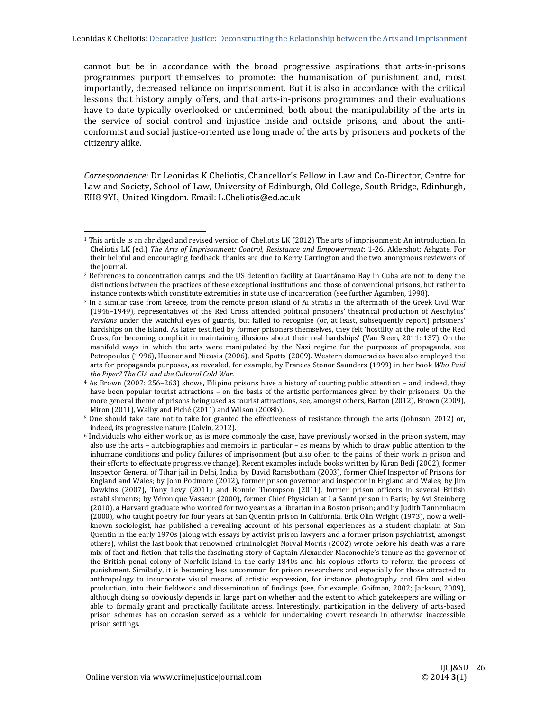cannot but be in accordance with the broad progressive aspirations that arts-in-prisons programmes purport themselves to promote: the humanisation of punishment and, most importantly, decreased reliance on imprisonment. But it is also in accordance with the critical lessons that history amply offers, and that arts-in-prisons programmes and their evaluations have to date typically overlooked or undermined, both about the manipulability of the arts in the service of social control and injustice inside and outside prisons, and about the anticonformist and social justice-oriented use long made of the arts by prisoners and pockets of the citizenry alike. 

*Correspondence*: Dr Leonidas K Cheliotis, Chancellor's Fellow in Law and Co-Director, Centre for Law and Society, School of Law, University of Edinburgh, Old College, South Bridge, Edinburgh, EH8 9YL, United Kingdom. Email: L.Cheliotis@ed.ac.uk

 

 $1$  This article is an abridged and revised version of: Cheliotis LK (2012) The arts of imprisonment: An introduction. In Cheliotis LK (ed.) *The Arts of Imprisonment: Control, Resistance and Empowerment*: 1‐26. Aldershot: Ashgate. For their helpful and encouraging feedback, thanks are due to Kerry Carrington and the two anonymous reviewers of the journal.

<sup>&</sup>lt;sup>2</sup> References to concentration camps and the US detention facility at Guantánamo Bay in Cuba are not to deny the distinctions between the practices of these exceptional institutions and those of conventional prisons, but rather to instance contexts which constitute extremities in state use of incarceration (see further Agamben, 1998).

<sup>&</sup>lt;sup>3</sup> In a similar case from Greece, from the remote prison island of Aï Stratis in the aftermath of the Greek Civil War (1946–1949), representatives of the Red Cross attended political prisoners' theatrical production of Aeschylus' *Persians* under the watchful eyes of guards, but failed to recognise (or, at least, subsequently report) prisoners' hardships on the island. As later testified by former prisoners themselves, they felt 'hostility at the role of the Red Cross, for becoming complicit in maintaining illusions about their real hardships' (Van Steen, 2011: 137). On the manifold ways in which the arts were manipulated by the Nazi regime for the purposes of propaganda, see Petropoulos (1996), Huener and Nicosia (2006), and Spotts (2009). Western democracies have also employed the arts for propaganda purposes, as revealed, for example, by Frances Stonor Saunders (1999) in her book Who Paid *the Piper? The CIA and the Cultural Cold War*. 

<sup>&</sup>lt;sup>4</sup> As Brown (2007: 256–263) shows, Filipino prisons have a history of courting public attention – and, indeed, they have been popular tourist attractions – on the basis of the artistic performances given by their prisoners. On the more general theme of prisons being used as tourist attractions, see, amongst others, Barton (2012), Brown (2009), Miron (2011), Walby and Piché (2011) and Wilson (2008b).

<sup>&</sup>lt;sup>5</sup> One should take care not to take for granted the effectiveness of resistance through the arts (Johnson, 2012) or, indeed, its progressive nature (Colvin, 2012).

 $6$  Individuals who either work or, as is more commonly the case, have previously worked in the prison system, may also use the arts – autobiographies and memoirs in particular – as means by which to draw public attention to the inhumane conditions and policy failures of imprisonment (but also often to the pains of their work in prison and their efforts to effectuate progressive change). Recent examples include books written by Kiran Bedi (2002), former Inspector General of Tihar jail in Delhi, India; by David Ramsbotham (2003), former Chief Inspector of Prisons for England and Wales; by John Podmore (2012), former prison governor and inspector in England and Wales; by Jim Dawkins (2007), Tony Levy (2011) and Ronnie Thompson (2011), former prison officers in several British establishments; by Véronique Vasseur (2000), former Chief Physician at La Santé prison in Paris; by Avi Steinberg (2010), a Harvard graduate who worked for two years as a librarian in a Boston prison; and by Judith Tannenbaum (2000), who taught poetry for four years at San Quentin prison in California. Erik Olin Wright (1973), now a wellknown sociologist, has published a revealing account of his personal experiences as a student chaplain at San Quentin in the early 1970s (along with essays by activist prison lawyers and a former prison psychiatrist, amongst others), whilst the last book that renowned criminologist Norval Morris (2002) wrote before his death was a rare mix of fact and fiction that tells the fascinating story of Captain Alexander Maconochie's tenure as the governor of the British penal colony of Norfolk Island in the early 1840s and his copious efforts to reform the process of punishment. Similarly, it is becoming less uncommon for prison researchers and especially for those attracted to anthropology to incorporate visual means of artistic expression, for instance photography and film and video production, into their fieldwork and dissemination of findings (see, for example, Goifman, 2002; Jackson, 2009), although doing so obviously depends in large part on whether and the extent to which gatekeepers are willing or able to formally grant and practically facilitate access. Interestingly, participation in the delivery of arts-based prison schemes has on occasion served as a vehicle for undertaking covert research in otherwise inaccessible prison settings.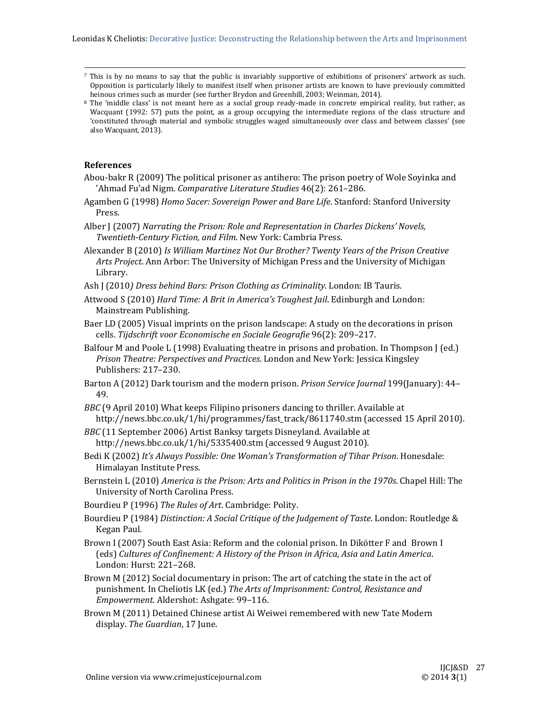<sup>7</sup> This is by no means to say that the public is invariably supportive of exhibitions of prisoners' artwork as such. Opposition is particularly likely to manifest itself when prisoner artists are known to have previously committed heinous crimes such as murder (see further Brydon and Greenhill, 2003; Weinman, 2014).

 

8 The 'middle class' is not meant here as a social group ready-made in concrete empirical reality, but rather, as Wacquant (1992: 57) puts the point, as a group occupying the intermediate regions of the class structure and 'constituted through material and symbolic struggles waged simultaneously over class and between classes' (see also Wacquant, 2013).

# **References**

- Abou-bakr  $R(2009)$  The political prisoner as antihero: The prison poetry of Wole Soyinka and 'Ahmad Fu'ad Nigm. *Comparative Literature Studies* 46(2): 261-286.
- Agamben G (1998) *Homo Sacer: Sovereign Power and Bare Life*. Stanford: Stanford University Press.
- Alber J (2007) *Narrating the Prison: Role and Representation in Charles Dickens' Novels, Twentieth‐Century Fiction, and Film*. New York: Cambria Press.
- Alexander B (2010) *Is William Martinez Not Our Brother? Twenty Years of the Prison Creative* Arts *Project*. Ann Arbor: The University of Michigan Press and the University of Michigan Library.
- Ash J (2010*) Dress behind Bars: Prison Clothing as Criminality*. London: IB Tauris.
- Attwood S (2010) *Hard Time: A Brit in America's Toughest Jail*. Edinburgh and London: Mainstream Publishing.
- Baer LD (2005) Visual imprints on the prison landscape: A study on the decorations in prison cells. *Tijdschrift voor Economische en Sociale Geografie* 96(2): 209–217.
- Balfour M and Poole L (1998) Evaluating theatre in prisons and probation. In Thompson J (ed.) *Prison Theatre: Perspectives and Practices*. London and New York: Jessica Kingsley Publishers: 217-230.
- Barton A (2012) Dark tourism and the modern prison. *Prison Service Journal* 199(January): 44– 49.
- *BBC* (9 April 2010) What keeps Filipino prisoners dancing to thriller. Available at http://news.bbc.co.uk/1/hi/programmes/fast\_track/8611740.stm (accessed 15 April 2010).
- *BBC* (11 September 2006) Artist Banksy targets Disneyland. Available at http://news.bbc.co.uk/1/hi/5335400.stm (accessed 9 August 2010).
- Bedi K (2002) *It's Always Possible: One Woman's Transformation of Tihar Prison*. Honesdale: Himalayan Institute Press.
- Bernstein L (2010) *America is the Prison: Arts and Politics in Prison in the 1970s*. Chapel Hill: The University of North Carolina Press.
- Bourdieu P (1996) *The Rules of Art*. Cambridge: Polity.
- Bourdieu P (1984) *Distinction: A Social Critique of the Judgement of Taste*. London: Routledge & Kegan Paul.
- Brown I (2007) South East Asia: Reform and the colonial prison. In Dikötter F and Brown I (eds) *Cultures of Confinement: A History of the Prison in Africa, Asia and Latin America*. London: Hurst: 221-268.
- Brown M (2012) Social documentary in prison: The art of catching the state in the act of punishment. In Cheliotis LK (ed.) *The Arts of Imprisonment: Control, Resistance and Empowerment*. Aldershot: Ashgate: 99–116.
- Brown M (2011) Detained Chinese artist Ai Weiwei remembered with new Tate Modern display. The Guardian, 17 June.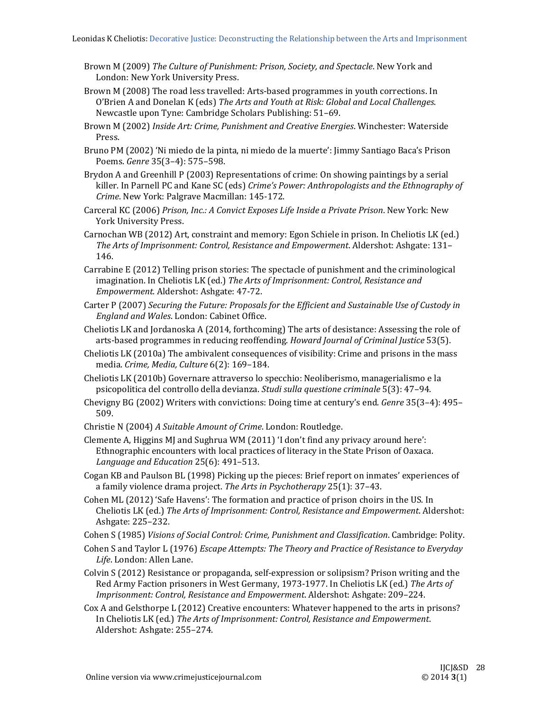- Brown M (2009) *The Culture of Punishment: Prison, Society, and Spectacle*. New York and London: New York University Press.
- Brown M (2008) The road less travelled: Arts-based programmes in youth corrections. In O'Brien A and Donelan K (eds) *The Arts and Youth at Risk: Global and Local Challenges*. Newcastle upon Tyne: Cambridge Scholars Publishing: 51-69.
- Brown M (2002) *Inside Art: Crime, Punishment and Creative Energies*. Winchester: Waterside Press.
- Bruno PM (2002) 'Ni miedo de la pinta, ni miedo de la muerte': Jimmy Santiago Baca's Prison Poems. *Genre* 35(3-4): 575-598.
- Brydon A and Greenhill  $P(2003)$  Representations of crime: On showing paintings by a serial killer. In Parnell PC and Kane SC (eds) *Crime's Power: Anthropologists and the Ethnography of Crime*. New York: Palgrave Macmillan: 145‐172.
- Carceral KC (2006) *Prison, Inc.: A Convict Exposes Life Inside a Private Prison*. New York: New York University Press.
- Carnochan WB (2012) Art, constraint and memory: Egon Schiele in prison. In Cheliotis LK (ed.) *The Arts of Imprisonment: Control, Resistance and Empowerment*. Aldershot: Ashgate: 131– 146.
- Carrabine  $E(2012)$  Telling prison stories: The spectacle of punishment and the criminological imagination. In Cheliotis LK (ed.) *The Arts of Imprisonment: Control, Resistance and Empowerment*. Aldershot: Ashgate: 47‐72.
- Carter P (2007) *Securing the Future: Proposals for the Efficient and Sustainable Use of Custody in England and Wales*. London: Cabinet Office.
- Cheliotis LK and Jordanoska A (2014, forthcoming) The arts of desistance: Assessing the role of arts-based programmes in reducing reoffending. *Howard Journal of Criminal Justice* 53(5).
- Cheliotis LK  $(2010a)$  The ambivalent consequences of visibility: Crime and prisons in the mass media. *Crime, Media, Culture* 6(2): 169–184.
- Cheliotis LK (2010b) Governare attraverso lo specchio: Neoliberismo, managerialismo e la psicopolitica del controllo della devianza. *Studi sulla questione criminale* 5(3): 47–94.
- Chevigny BG (2002) Writers with convictions: Doing time at century's end. *Genre* 35(3–4): 495– 509.
- Christie N (2004) *A Suitable Amount of Crime*. London: Routledge.
- Clemente A, Higgins MJ and Sughrua WM (2011) 'I don't find any privacy around here': Ethnographic encounters with local practices of literacy in the State Prison of Oaxaca. *Language and Education* 25(6): 491–513.
- Cogan KB and Paulson BL (1998) Picking up the pieces: Brief report on inmates' experiences of a family violence drama project. *The Arts in Psychotherapy* 25(1): 37–43.
- Cohen ML (2012) 'Safe Havens': The formation and practice of prison choirs in the US. In Cheliotis LK (ed.) *The Arts of Imprisonment: Control, Resistance and Empowerment*. Aldershot: Ashgate: 225–232.
- Cohen S (1985) *Visions of Social Control: Crime, Punishment and Classification*. Cambridge: Polity.
- Cohen S and Taylor L (1976) *Escape Attempts: The Theory and Practice of Resistance to Everyday* Life. London: Allen Lane.
- Colvin S (2012) Resistance or propaganda, self-expression or solipsism? Prison writing and the Red Army Faction prisoners in West Germany, 1973-1977. In Cheliotis LK (ed.) The Arts of *Imprisonment: Control, Resistance and Empowerment*. Aldershot: Ashgate: 209–224.
- Cox A and Gelsthorpe L (2012) Creative encounters: Whatever happened to the arts in prisons? In Cheliotis LK (ed.) *The Arts of Imprisonment: Control, Resistance and Empowerment*. Aldershot: Ashgate: 255-274.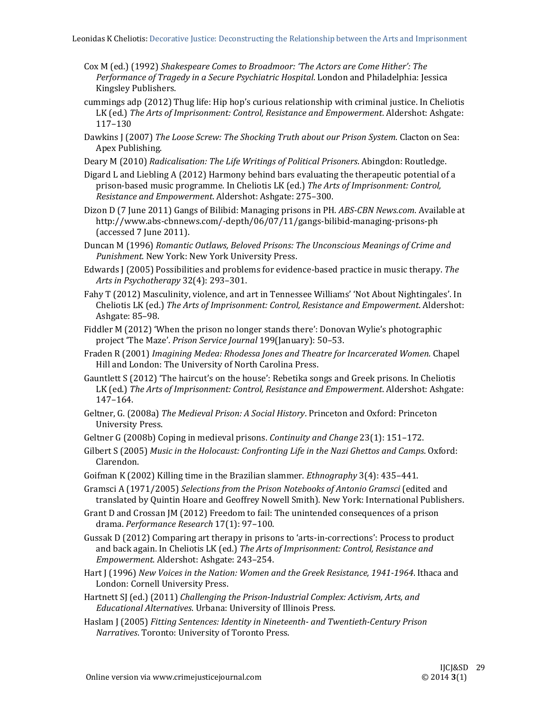- Cox M (ed.) (1992) *Shakespeare Comes to Broadmoor: 'The Actors are Come Hither': The Performance of Tragedy in a Secure Psychiatric Hospital*. London and Philadelphia: Jessica Kingsley Publishers.
- cummings adp (2012) Thug life: Hip hop's curious relationship with criminal justice. In Cheliotis LK (ed.) *The Arts of Imprisonment: Control, Resistance and Empowerment*. Aldershot: Ashgate: 117–130
- Dawkins J (2007) *The Loose Screw: The Shocking Truth about our Prison System*. Clacton on Sea: Apex Publishing.
- Deary M (2010) *Radicalisation: The Life Writings of Political Prisoners*. Abingdon: Routledge.
- Digard L and Liebling A (2012) Harmony behind bars evaluating the therapeutic potential of a prison‐based music programme. In Cheliotis LK (ed.) *The Arts of Imprisonment: Control, Resistance and Empowerment*. Aldershot: Ashgate: 275–300.
- Dizon D (7 June 2011) Gangs of Bilibid: Managing prisons in PH. *ABS-CBN News.com*. Available at http://www.abs‐cbnnews.com/‐depth/06/07/11/gangs‐bilibid‐managing‐prisons‐ph (accessed 7 June 2011).
- Duncan M (1996) *Romantic Outlaws, Beloved Prisons: The Unconscious Meanings of Crime and* Punishment. New York: New York University Press.
- Edwards J (2005) Possibilities and problems for evidence-based practice in music therapy. The *Arts in Psychotherapy* 32(4): 293–301.
- Fahy T (2012) Masculinity, violence, and art in Tennessee Williams' 'Not About Nightingales'. In Cheliotis LK (ed.) *The Arts of Imprisonment: Control, Resistance and Empowerment*. Aldershot: Ashgate: 85–98.
- Fiddler M  $(2012)$  'When the prison no longer stands there': Donovan Wylie's photographic project 'The Maze'. *Prison Service Journal* 199(January): 50-53.
- Fraden R (2001) *Imagining Medea: Rhodessa Jones and Theatre for Incarcerated Women*. Chapel Hill and London: The University of North Carolina Press.
- Gauntlett S (2012) 'The haircut's on the house': Rebetika songs and Greek prisons. In Cheliotis LK (ed.) *The Arts of Imprisonment: Control, Resistance and Empowerment*. Aldershot: Ashgate: 147–164.
- Geltner, G. (2008a) *The Medieval Prison: A Social History*. Princeton and Oxford: Princeton University Press.
- Geltner G (2008b) Coping in medieval prisons. *Continuity and Change* 23(1): 151–172.
- Gilbert S (2005) *Music in the Holocaust: Confronting Life in the Nazi Ghettos and Camps*. Oxford: Clarendon.
- Goifman K (2002) Killing time in the Brazilian slammer. *Ethnography* 3(4): 435–441.
- Gramsci A (1971/2005) *Selections from the Prison Notebooks of Antonio Gramsci* (edited and translated by Quintin Hoare and Geoffrey Nowell Smith). New York: International Publishers.
- Grant D and Crossan  $[M(2012)$  Freedom to fail: The unintended consequences of a prison drama. *Performance Research* 17(1): 97–100.
- Gussak D (2012) Comparing art therapy in prisons to 'arts-in-corrections': Process to product and back again. In Cheliotis LK (ed.) *The Arts of Imprisonment: Control, Resistance and Empowerment*. Aldershot: Ashgate: 243–254.
- Hart J (1996) New Voices in the Nation: Women and the Greek Resistance, 1941-1964. Ithaca and London: Cornell University Press.
- Hartnett SJ (ed.) (2011) *Challenging the Prison‐Industrial Complex: Activism, Arts, and Educational Alternatives*. Urbana: University of Illinois Press.
- Haslam J (2005) *Fitting Sentences: Identity in Nineteenth‐ and Twentieth‐Century Prison Narratives*. Toronto: University of Toronto Press.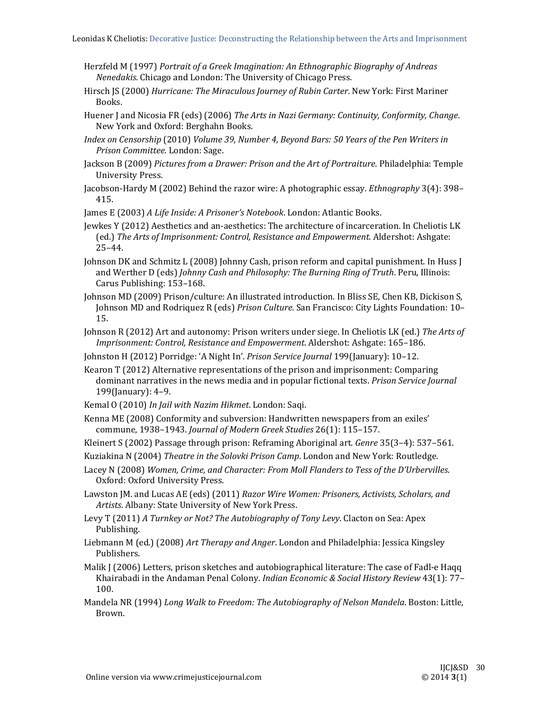- Herzfeld M (1997) *Portrait of a Greek Imagination: An Ethnographic Biography of Andreas Nenedakis.* Chicago and London: The University of Chicago Press.
- Hirsch JS (2000) *Hurricane: The Miraculous Journey of Rubin Carter*. New York: First Mariner Books.
- Huener J and Nicosia FR (eds) (2006) *The Arts in Nazi Germany: Continuity, Conformity, Change*. New York and Oxford: Berghahn Books.
- *Index on Censorship* (2010) *Volume 39, Number 4, Beyond Bars: 50 Years of the Pen Writers in Prison Committee*. London: Sage.
- Jackson B (2009) *Pictures from a Drawer: Prison and the Art of Portraiture*. Philadelphia: Temple University Press.
- Jacobson-Hardy M (2002) Behind the razor wire: A photographic essay. *Ethnography* 3(4): 398– 415.
- James E (2003) *A Life Inside: A Prisoner's Notebook*. London: Atlantic Books.
- Jewkes Y (2012) Aesthetics and an-aesthetics: The architecture of incarceration. In Cheliotis LK (ed.) *The Arts of Imprisonment: Control, Resistance and Empowerment*. Aldershot: Ashgate: 25–44.
- Johnson DK and Schmitz L (2008) Johnny Cash, prison reform and capital punishment. In Huss J and Werther D (eds) *Johnny Cash and Philosophy: The Burning Ring of Truth*. Peru, Illinois: Carus Publishing: 153-168.
- Johnson MD (2009) Prison/culture: An illustrated introduction. In Bliss SE, Chen KB, Dickison S, Johnson MD and Rodriquez R (eds) *Prison Culture*. San Francisco: City Lights Foundation: 10– 15.
- Johnson R (2012) Art and autonomy: Prison writers under siege. In Cheliotis LK (ed.) *The Arts of Imprisonment: Control, Resistance and Empowerment*. Aldershot: Ashgate: 165–186.
- Johnston H (2012) Porridge: 'A Night In'. Prison Service Journal 199(January): 10-12.
- Kearon  $T(2012)$  Alternative representations of the prison and imprisonment: Comparing dominant narratives in the news media and in popular fictional texts. *Prison Service Journal* 199(January): 4–9.
- Kemal O (2010) In Jail with Nazim Hikmet. London: Saqi.
- Kenna ME (2008) Conformity and subversion: Handwritten newspapers from an exiles' commune, 1938–1943. *Journal of Modern Greek Studies* 26(1): 115–157.
- Kleinert S (2002) Passage through prison: Reframing Aboriginal art. *Genre* 35(3–4): 537–561.
- Kuziakina N (2004) *Theatre in the Solovki Prison Camp*. London and New York: Routledge.
- Lacey N (2008) *Women, Crime, and Character: From Moll Flanders to Tess of the D'Urbervilles*. Oxford: Oxford University Press.
- Lawston JM. and Lucas AE (eds) (2011) *Razor Wire Women: Prisoners, Activists, Scholars, and* Artists. Albany: State University of New York Press.
- Levy T (2011) *A Turnkey or Not? The Autobiography of Tony Levy*. Clacton on Sea: Apex Publishing.
- Liebmann M (ed.) (2008) *Art Therapy and Anger*. London and Philadelphia: Jessica Kingsley Publishers.
- Malik  $J(2006)$  Letters, prison sketches and autobiographical literature: The case of Fadl-e Haqq Khairabadi in the Andaman Penal Colony. *Indian Economic & Social History Review* 43(1): 77-100.
- Mandela NR (1994) *Long Walk to Freedom: The Autobiography of Nelson Mandela*. Boston: Little, Brown.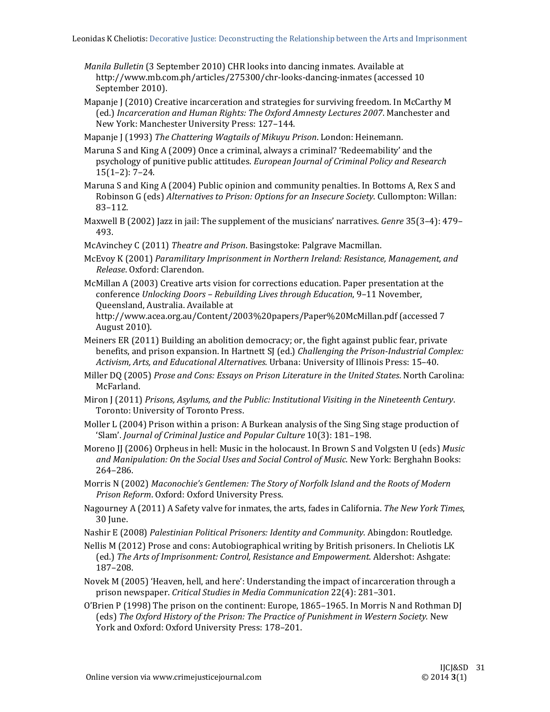- *Manila Bulletin* (3 September 2010) CHR looks into dancing inmates. Available at http://www.mb.com.ph/articles/275300/chr-looks-dancing-inmates (accessed 10 September 2010).
- Mapanje  $\int$  (2010) Creative incarceration and strategies for surviving freedom. In McCarthy M (ed.) *Incarceration and Human Rights: The Oxford Amnesty Lectures 2007*. Manchester and New York: Manchester University Press: 127-144.

Mapanje J (1993) *The Chattering Wagtails of Mikuyu Prison*. London: Heinemann.

Maruna S and King A (2009) Once a criminal, always a criminal? 'Redeemability' and the psychology of punitive public attitudes. *European Journal of Criminal Policy and Research*  $15(1-2): 7-24.$ 

- Maruna S and King A (2004) Public opinion and community penalties. In Bottoms A, Rex S and Robinson G (eds) *Alternatives to Prison: Options for an Insecure Society*. Cullompton: Willan: 83–112.
- Maxwell B (2002) Jazz in jail: The supplement of the musicians' narratives. *Genre* 35(3–4): 479– 493.

McAvinchey C (2011) *Theatre and Prison*. Basingstoke: Palgrave Macmillan.

- McEvoy K (2001) *Paramilitary Imprisonment in Northern Ireland: Resistance, Management, and Release*. Oxford: Clarendon.
- McMillan A (2003) Creative arts vision for corrections education. Paper presentation at the conference *Unlocking Doors – Rebuilding Lives through Education*, 9–11 November, Queensland, Australia. Available at http://www.acea.org.au/Content/2003%20papers/Paper%20McMillan.pdf (accessed 7

August 2010). 

- Meiners ER  $(2011)$  Building an abolition democracy; or, the fight against public fear, private benefits, and prison expansion. In Hartnett SJ (ed.) *Challenging the Prison‐Industrial Complex: Activism, Arts, and Educational Alternatives*. Urbana: University of Illinois Press: 15–40.
- Miller DQ (2005) *Prose and Cons: Essays on Prison Literature in the United States*. North Carolina: McFarland.
- Miron J (2011) *Prisons, Asylums, and the Public: Institutional Visiting in the Nineteenth Century*. Toronto: University of Toronto Press.
- Moller L  $(2004)$  Prison within a prison: A Burkean analysis of the Sing Sing stage production of 'Slam'. *Journal of Criminal Justice and Popular Culture* 10(3): 181–198.
- Moreno JJ (2006) Orpheus in hell: Music in the holocaust. In Brown S and Volgsten U (eds) *Music and Manipulation: On the Social Uses and Social Control of Music*. New York: Berghahn Books: 264–286.
- Morris N (2002) *Maconochie's Gentlemen: The Story of Norfolk Island and the Roots of Modern Prison Reform*. Oxford: Oxford University Press.
- Nagourney A (2011) A Safety valve for inmates, the arts, fades in California. *The New York Times*, 30 June.
- Nashir E (2008) *Palestinian Political Prisoners: Identity and Community*. Abingdon: Routledge.
- Nellis M (2012) Prose and cons: Autobiographical writing by British prisoners. In Cheliotis LK (ed.) *The Arts of Imprisonment: Control, Resistance and Empowerment*. Aldershot: Ashgate: 187–208.
- Novek M (2005) 'Heaven, hell, and here': Understanding the impact of incarceration through a prison newspaper. *Critical Studies in Media Communication* 22(4): 281–301.
- O'Brien P (1998) The prison on the continent: Europe, 1865–1965. In Morris N and Rothman DJ (eds) *The Oxford History of the Prison: The Practice of Punishment in Western Society*. New York and Oxford: Oxford University Press: 178-201.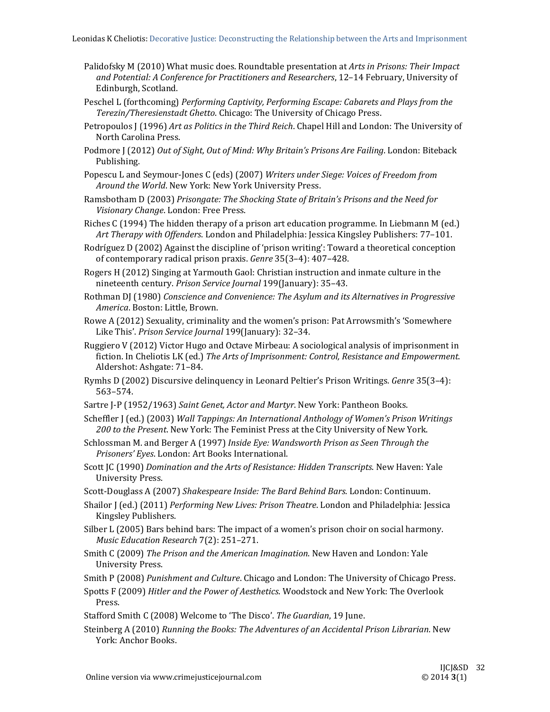- Palidofsky M (2010) What music does. Roundtable presentation at *Arts in Prisons: Their Impact and Potential: A Conference for Practitioners and Researchers*, 12–14 February, University of Edinburgh, Scotland.
- Peschel L (forthcoming) *Performing Captivity, Performing Escape: Cabarets and Plays from the Terezin/Theresienstadt Ghetto*. Chicago: The University of Chicago Press.
- Petropoulos  $\int$  (1996) *Art as Politics in the Third Reich.* Chapel Hill and London: The University of North Carolina Press.
- Podmore J (2012) *Out of Sight, Out of Mind: Why Britain's Prisons Are Failing. London: Biteback* Publishing.
- Popescu L and Seymour‐Jones C (eds) (2007) *Writers under Siege: Voices of Freedom from Around the World*. New York: New York University Press.
- Ramsbotham D (2003) *Prisongate: The Shocking State of Britain's Prisons and the Need for Visionary Change*. London: Free Press.
- Riches  $C(1994)$  The hidden therapy of a prison art education programme. In Liebmann M (ed.) *Art Therapy with Offenders*. London and Philadelphia: Jessica Kingsley Publishers: 77–101.
- Rodríguez D (2002) Against the discipline of 'prison writing': Toward a theoretical conception of contemporary radical prison praxis. *Genre* 35(3-4): 407-428.
- Rogers H (2012) Singing at Yarmouth Gaol: Christian instruction and inmate culture in the nineteenth century. *Prison Service Journal* 199(January): 35–43.
- Rothman DJ (1980) *Conscience and Convenience: The Asylum and its Alternatives in Progressive America*. Boston: Little, Brown.
- Rowe A (2012) Sexuality, criminality and the women's prison: Pat Arrowsmith's 'Somewhere Like This'. *Prison Service Journal* 199(January): 32-34.
- Ruggiero V (2012) Victor Hugo and Octave Mirbeau: A sociological analysis of imprisonment in fiction. In Cheliotis LK (ed.) *The Arts of Imprisonment: Control, Resistance and Empowerment*. Aldershot: Ashgate: 71-84.
- Rymhs D (2002) Discursive delinquency in Leonard Peltier's Prison Writings. *Genre* 35(3-4): 563–574.
- Sartre J-P (1952/1963) Saint Genet, Actor and Martyr. New York: Pantheon Books.
- Scheffler J (ed.) (2003) *Wall Tappings: An International Anthology of Women's Prison Writings* 200 to the Present. New York: The Feminist Press at the City University of New York.
- Schlossman M. and Berger A (1997) *Inside Eye: Wandsworth Prison as Seen Through the Prisoners' Eyes*. London: Art Books International.
- Scott JC (1990) *Domination and the Arts of Resistance: Hidden Transcripts*. New Haven: Yale University Press.
- Scott‐Douglass A (2007) *Shakespeare Inside: The Bard Behind Bars*. London: Continuum.
- Shailor J (ed.) (2011) *Performing New Lives: Prison Theatre*. London and Philadelphia: Jessica Kingsley Publishers.
- Silber L (2005) Bars behind bars: The impact of a women's prison choir on social harmony. *Music Education Research* 7(2): 251–271.
- Smith C (2009) The Prison and the American Imagination. New Haven and London: Yale University Press.
- Smith P (2008) *Punishment and Culture*. Chicago and London: The University of Chicago Press.
- Spotts F (2009) *Hitler and the Power of Aesthetics*. Woodstock and New York: The Overlook Press.
- Stafford Smith C (2008) Welcome to 'The Disco'. The Guardian, 19 June.
- Steinberg A (2010) *Running the Books: The Adventures of an Accidental Prison Librarian*. New York: Anchor Books.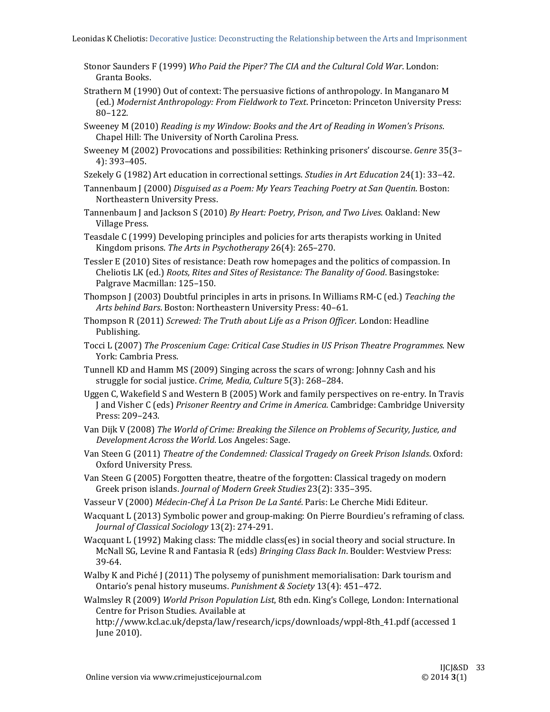- Stonor Saunders F (1999) *Who Paid the Piper? The CIA and the Cultural Cold War*. London: Granta Books.
- Strathern M (1990) Out of context: The persuasive fictions of anthropology. In Manganaro M (ed.) *Modernist Anthropology: From Fieldwork to Text*. Princeton: Princeton University Press: 80–122.
- Sweeney M (2010) *Reading is my Window: Books and the Art of Reading in Women's Prisons*. Chapel Hill: The University of North Carolina Press.
- Sweeney M (2002) Provocations and possibilities: Rethinking prisoners' discourse. *Genre* 35(3– 4): 393–405.
- Szekely G (1982) Art education in correctional settings. *Studies in Art Education* 24(1): 33–42.
- Tannenbaum J (2000) *Disguised as a Poem: My Years Teaching Poetry at San Quentin*. Boston: Northeastern University Press.
- Tannenbaum J and Jackson S (2010) *By Heart: Poetry, Prison, and Two Lives*. Oakland: New Village Press.
- Teasdale C (1999) Developing principles and policies for arts therapists working in United Kingdom prisons. *The Arts in Psychotherapy* 26(4): 265–270.
- Tessler E (2010) Sites of resistance: Death row homepages and the politics of compassion. In Cheliotis LK (ed.) *Roots, Rites and Sites of Resistance: The Banality of Good*. Basingstoke: Palgrave Macmillan: 125-150.
- Thompson J (2003) Doubtful principles in arts in prisons. In Williams RM-C (ed.) *Teaching the Arts behind Bars*. Boston: Northeastern University Press: 40–61.
- Thompson R (2011) *Screwed: The Truth about Life as a Prison Officer*. London: Headline Publishing.
- Tocci L (2007) *The Proscenium Cage: Critical Case Studies in US Prison Theatre Programmes*. New York: Cambria Press.
- Tunnell KD and Hamm MS (2009) Singing across the scars of wrong: Johnny Cash and his struggle for social justice. Crime, Media, Culture 5(3): 268-284.
- Uggen C, Wakefield S and Western B (2005) Work and family perspectives on re-entry. In Travis J and Visher C (eds) *Prisoner Reentry and Crime in America*. Cambridge: Cambridge University Press: 209–243.
- Van Dijk V (2008) *The World of Crime: Breaking the Silence on Problems of Security, Justice, and Development Across the World*. Los Angeles: Sage.
- Van Steen G (2011) *Theatre of the Condemned: Classical Tragedy on Greek Prison Islands*. Oxford: Oxford University Press.
- Van Steen G (2005) Forgotten theatre, theatre of the forgotten: Classical tragedy on modern Greek prison islands. *Journal of Modern Greek Studies* 23(2): 335–395.
- Vasseur V (2000) *Médecin-Chef À La Prison De La Santé*. Paris: Le Cherche Midi Editeur.
- Wacquant L (2013) Symbolic power and group-making: On Pierre Bourdieu's reframing of class. *Journal of Classical Sociology* 13(2): 274‐291.
- Wacquant L  $(1992)$  Making class: The middle class(es) in social theory and social structure. In McNall SG, Levine R and Fantasia R (eds) *Bringing Class Back In*. Boulder: Westview Press: 39‐64.
- Walby K and Piché  $\int$  (2011) The polysemy of punishment memorialisation: Dark tourism and Ontario's penal history museums. *Punishment & Society* 13(4): 451-472.
- Walmsley R (2009) World Prison Population List, 8th edn. King's College, London: International Centre for Prison Studies. Available at

http://www.kcl.ac.uk/depsta/law/research/icps/downloads/wppl-8th\_41.pdf (accessed 1 June 2010).